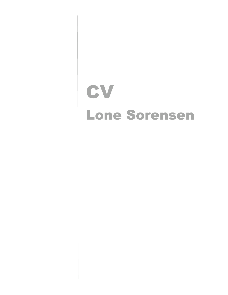# **CV** Lone Sorensen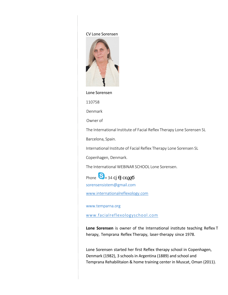#### CV Lone Sorensen



#### Lone Sorensen

110758

Denmark

Owner of

The International Institute of Facial Reflex Therapy Lone Sorensen SL

Barcelona, Spain.

International Institute of Facial Reflex Therapy Lone Sorensen SL

Copenhagen, Denmark.

The International WEBINAR SCHOOL Lone Sorensen.

Phone  $\bigotimes_{+34}$ 

[sorensensistem@gmail.com](mailto:sorensensistem@gmail.com)

[www.internationalreflexology.com](http://www.internationalreflexology.com/)

[www.temparna.org](http://www.temparna.org/) 

[www.facialreflexologyschool.com](http://www.facialreflexologyschool.com/)

**Lone Sorensen** is owner of the International institute teaching Reflex T herapy, Temprana Reflex Therapy, laser-therapy since 1978.

Lone Sorensen started her first Reflex therapy school in Copenhagen, Denmark (1982), 3 schools in Argentina (1889) and school and Temprana Rehabilitaion & home training center in Muscat, Oman (2011).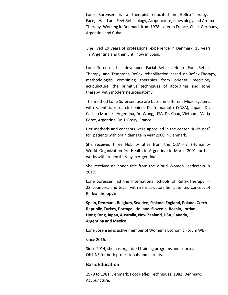Lone Sorensen is a therapist educated in Reflex Therapy, Face, - Hand and Feet Reflexology, Acupuncture, Kinesiology and Aroma Therapy. Working in Denmark from 1978. Later in France, Chile, Germany, Argentina and Cuba.

She lived 10 years of professional experience in Denmark, 13 years in Argentina and then until now in Spain.

Lone Sorensen has developed Facial Reflex-, Neuro- Foot Reflex Therapy and Temprana Reflex rehabilitation based on Reflex Therapy, methodologies combining therapies from oriental medicine, acupuncture, the primitive techniques of aborigines and zone therapy with modern neuroanatomy.

The method Lone Sorensen use are based in different Micro systems with scientific research behind; Dr. Yamamoto (YNSA), Japan, Dr. Castillo Morales, Argentina, Dr. Wong, USA, Dr. Chau, Vietnam, Maria Perez, Argentina, Dr. J. Bossy, France.

Her methods and concepts were approved in the center "Kurhuset" for patients with brain damage in year 2000 in Denmark.

She received three Nobility titles from the O.M.H.S. (Humanity World Organization Pro-Health in Argentina) in March 2001 for her works with reflex therapy in Argentina.

She received an honor title from the World Women Leadership in 2017.

Lone Sorensen led the International schools of Reflex Therapy in 22 countries and teach with 33 instructors her patented concept of Reflex therapy in:

**Spain, Denmark, Belgium, Sweden, Finland, England, Poland, Czech Republic, Turkey, Portugal, Holland, Slovenia, Bosnia, Jordan, Hong Kong,Japan, Australia,New Zealand,USA, Canada, Argentina and Mexico.** 

Lone Sorensen is active member of Women's Economic Forum WEF

since 2016.

Since 2014, she has organized training programs and courses ONLINE for both professionals and parents.

#### **Basic Education:**

1978 to 1981, Denmark: Foot Reflex Techniques. 1982, Denmark: Acupuncture.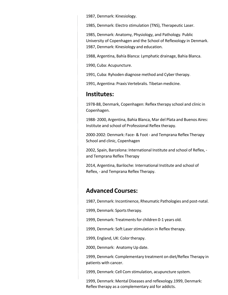1987, Denmark: Kinesiology.

1985, Denmark: Electro stimulation (TNS), Therapeutic Laser.

1985, Denmark: Anatomy, Physiology, and Pathology. Public University of Copenhagen and the School of Reflexology in Denmark. 1987, Denmark: Kinesiology and education.

1988, Argentina, Bahía Blanca: Lymphatic drainage, Bahia Blanca.

1990, Cuba: Acupuncture.

1991, Cuba: Ryhoden diagnose method and Cyber therapy.

1991, Argentina: Praxis Vertebralis. Tibetan medicine.

## **Institutes:**

1978-88, Denmark, Copenhagen: Reflex therapy school and clinic in Copenhagen.

1988- 2000, Argentina, Bahia Blanca, Mar del Plata and Buenos Aires: Institute and school of Professional Reflex therapy.

2000-2002: Denmark: Face- & Foot - and Temprana Reflex Therapy School and clinic, Copenhagen

2002, Spain, Barcelona: International Institute and school of Reflex, and Temprana Reflex Therapy

2014, Argentina, Bariloche: International Institute and school of Reflex, - and Temprana Reflex Therapy.

## **Advanced Courses:**

1987, Denmark: Incontinence, Rheumatic Pathologies and post-natal.

1999, Denmark: Sports therapy.

1999, Denmark: Treatments for children 0-1 years old.

1999, Denmark: Soft Laser stimulation in Reflex therapy.

1999, England, UK: Color therapy.

2000, Denmark: Anatomy Up date.

1999, Denmark: Complementary treatment on diet/Reflex Therapy in patients with cancer.

1999, Denmark: Cell Com stimulation, acupuncture system.

1999, Denmark: Mental Diseases and reflexology.1999, Denmark: Reflex therapy as a complementary aid for addicts.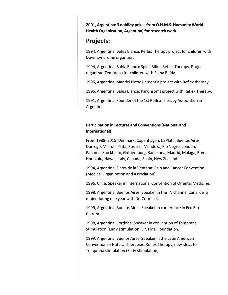**2001, Argentina: 3 nobility prizesfrom O.H.M.S. Humanity World Health Organization, Argentina) for research work.**

## **Projects:**

1994, Argentina, Bahia Blanca: Reflex Therapy project for children with Down syndrome organizer.

1994, Argentina, Bahia Blanca: Spina Bifida Reflex Therapy. Project organizar. Temprana for children with Spina Bifida.

1995, Argentina, Mar del Plata: Dementia project with Reflex therapy.

1995, Argentina, Bahia Blanca: Parkinson's project with Reflex Therapy.

1991, Argentina: Founder of the 1st Reflex Therapy Association in Argentina.

### **Participation in Lectures and Conventions(National and International)**

From 1988- 2015: Denmark, Copenhagen, La Plata, Buenos Aires, Dorrego, Mar del Plata, Rosario, Mendoza, Río Negro, London, Panama, Stockholm, Gothemburg, Barcelona, Madrid, Málaga, Rome, Honolulu, Hawai, Italy, Canada, Spain, New Zealand.

1994, Argentina, Sierra de la Ventana: Pain and Cancer Convention (Medical Organization and Association)

1996, Chile: Speaker in International Convention of Oriental Medicine.

1998, Argentina, Buenos Aires: Speaker in the TV channel Canal de la mujer during one year with Dr. Cormillot.

1999, Argentina, Buenos Aires: Speaker in conference in Eco Bio Cultura.

1998, Argentina, Cordoba: Speaker in convention of Temprana Stimulation (Early stimulation) Dr. Pinel Foundation.

1999, Argentina, Buenos Aires: Speaker in the Latin American Convention of Natural Therapies, Reflex Therapy, new ideasfor Temprana stimulation (Early stimulation).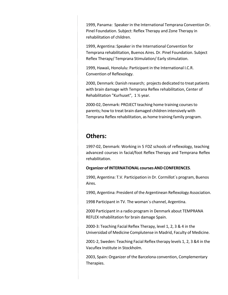1999, Panama: Speaker in the International Temprana Convention Dr. Pinel Foundation. Subject: Reflex Therapy and Zone Therapy in rehabilitation of children.

1999, Argentina: Speaker in the International Convention for Temprana rehabilitation, Buenos Aires. Dr. Pinel Foundation. Subject Reflex Therapy/ Temprana Stimulation/ Early stimulation.

1999, Hawaii, Honolulu: Participant in the International I.C.R. Convention of Reflexology.

2000, Denmark: Danish research; projects dedicated to treat patients with brain damage with Temprana Reflex rehabilitation, Center of Rehabilitation "Kurhuset", 1 ½ year.

2000-02, Denmark: PROJECT teaching home training coursesto parents; how to treat brain damaged children intensively with Temprana Reflex rehabilitation, as home training family program.

# **Others:**

1997-02, Denmark: Working in 5 FDZ schools of reflexology, teaching advanced courses in facial/foot Reflex Therapy and Temprana Reflex rehabilitation.

#### **Organizer ofINTERNATIONAL coursesAND CONFERENCES**.

1990, Argentina: T.V. Participation in Dr. Cormillot´s program, Buenos Aires.

1990, Argentina: President of the Argentinean Reflexology Association.

1998 Participant in TV. The woman´s channel, Argentina.

2000 Participant in a radio program in Denmark about TEMPRANA REFLEX rehabilitation for brain damage Spain.

2000-3: Teaching Facial Reflex Therapy, level 1, 2, 3 & 4 in the Universidad of Medicine Complutense in Madrid, Faculty of Medicine.

2001-2, Sweden: Teaching Facial Reflex therapy levels 1, 2, 3 &4 in the Vacuflex Institute in Stockholm.

2003, Spain: Organizer of the Barcelona convention, Complementary Therapies.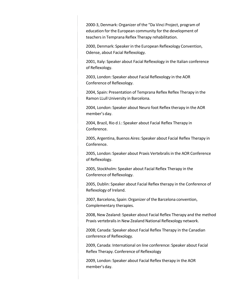2000-3, Denmark: Organizer of the "Da Vinci Project, program of education for the European community for the development of teachersin Temprana Reflex Therapy rehabilitation.

2000, Denmark: Speakerin the European Reflexology Convention, Odense, about Facial Reflexology.

2001, Italy: Speaker about Facial Reflexology in the Italian conference of Reflexology.

2003, London: Speaker about Facial Reflexology in the AOR Conference of Reflexology.

2004, Spain: Presentation of Temprana Reflex Reflex Therapy in the Ramon LLull University in Barcelona.

2004, London: Speaker about Neuro foot Reflex therapy in the AOR member's day.

2004, Brazil, Rio d J.: Speaker about Facial Reflex Therapy in Conference.

2005, Argentina, Buenos Aires: Speaker about Facial Reflex Therapy in Conference.

2005, London: Speaker about Praxis Vertebralis in the AOR Conference of Reflexology.

2005, Stockholm: Speaker about Facial Reflex Therapy in the Conference of Reflexology.

2005, Dublin: Speaker about Facial Reflex therapy in the Conference of Reflexology of Ireland.

2007, Barcelona, Spain: Organizer of the Barcelona convention, Complementary therapies.

2008, New Zealand: Speaker about Facial Reflex Therapy and the method Praxis vertebralisin New Zealand National Reflexology network.

2008; Canada: Speaker about Facial Reflex Therapy in the Canadian conference of Reflexology.

2009, Canada: International on line conference: Speaker about Facial Reflex Therapy. Conference of Reflexology

2009, London: Speaker about Facial Reflex therapy in the AOR member's day.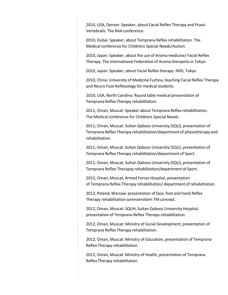2010, USA, Denver: Speaker, about Facial Reflex Therapy and Praxis Vertebralis. The RAA conference.

2010, Dubai: Speaker, about Temprana Reflex rehabilitation. The Medical conference for Childrens Special Needs/Autism.

2010, Japan: Speaker, about the use of Aroma medicine/ Facial Reflex Therapy. The International Federation of Aroma therapistsin Tokyo.

2010, Japan: Speaker, about Facial Reflex therapy. IMSI, Tokyo

2010, China: University of Medicine Fuzhou, teaching Facial Reflex Therapy and Neuro Foot Reflexology for medical students.

2010, USA, North Carolina: Round table medical presentation of Temprana Reflex Therapy rehabilitation.

2011, Oman, Muscat: Speaker about Temprana Reflex rehabilitation. The Medical conference for Childrens Special Needs.

2011, Oman, Muscat: Sultan Qaboos University (SQU), presentation of Temprana Reflex Therapy rehabilitation/department of physiotherapy and rehabilitation.

2011, Oman, Muscat, Sultan Qaboos University (SQU), presentation of Temprana Reflex Therapy rehabilitation/department of Sport.

2011, Oman, Muscat, Sultan Qaboos University (SQU), presentation of Temprana Reflex Therapay rehabilitation/department of Sport.

2012, Oman, Muscat, Armed Forces Hospital, presentation of Temprana Reflex Therapy rehabilitation/ department of rehabilitation.

2012, Poland, Warsaw: presentation of face, foot and hand Reflex Therapy rehabilitation sorensensitem TM concept.

2012, Oman, Muscat: SQUH, Sultan Qaboos University Hospital, presentation of Temprana Reflex Therapy rehabilitation.

2012, Oman, Muscat: Ministry of Social Development, presentation of Temprana Reflex Therapy rehabilitation.

2012, Oman, Muscat: Ministry of Education, presentation of Temprana Reflex Therapy rehabilitation.

2012, Oman, Muscat: Ministry of Health, presentation of Temprana Reflex Therapy rehabilitation.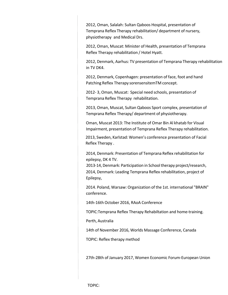2012, Oman, Salalah: Sultan Qaboos Hospital, presentation of Temprana Reflex Therapy rehabilitation/ department of nursery, physiotherapy and Medical Drs.

2012, Oman, Muscat: Minister of Health, presentation of Temprana Reflex Therapy rehabilitation / Hotel Hyatt.

2012, Denmark, Aarhus: TV presentation of Temprana Therapy rehabilitation in TV DK4.

2012, Denmark, Copenhagen: presentation of face, foot and hand Patching Reflex Therapy sorensensitemTM concept.

2012- 3, Oman, Muscat: Special need schools, presentation of Temprana Reflex Therapy rehabilitation.

2013, Oman, Muscat, Sultan Qaboos Sport complex, presentation of Temprana Reflex Therapy/ department of physiotherapy.

Oman, Muscat 2013: The Institute of Omar Bin Al khatab for Visual Impairment, presentation of Temprana Reflex Therapy rehabilitation.

2013, Sweden, Karlstad: Women's conference presentation of Facial Reflex Therapy .

2014, Denmark: Presentation of Temprana Reflex rehabilitation for epilepsy, DK 4 TV.

2013-14, Denmark: Participation in School therapy project/research, 2014, Denmark: Leading Temprana Reflex rehabilitation, project of Epilepsy,

2014. Poland, Warsaw: Organization of the 1st. international "BRAIN" conference.

14th-16th October 2016, RAoA Conference

TOPIC:Temprana Reflex Therapy Rehabiltation and home-training.

Perth, Australia

14th of November 2016, Worlds Massage Conference, Canada

TOPIC: Reflex therapy method

27th-28th of January 2017, Women Economic Forum-European Union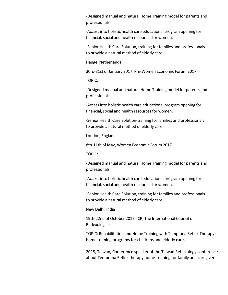-Designed manual and natural Home Training model for parents and professionals.

-Accessinto holistic health care educational program opening for financial, social and health resources for women.

-Senior Health Care Solution, training for families and professionals to provide a natural method of elderly care.

Hauge, Netherlands

30rd-31st of January 2017, Pre-Women Economic Forum 2017

TOPIC:

-Designed manual and natural Home Training model for parents and professionals.

-Accessinto holistic health care educational program opening for financial, social and health resources for women.

-Senior Health Care Solution-training for families and professionals to provide a natural method of elderly care.

London, England

8th-11th of May, Women Economic Forum 2017

TOPIC:

-Designed manual and natural Home Training model for parents and professionals.

-Accessinto holistic health care educational program opening for financial, social and health resources for women.

-Senior Health Care Solution, training for families and professionals to provide a natural method of elderly care.

New Delhi. India

19th-22nd of October 2017, ICR, The International Council of Reflexologists

TOPIC: Rehabilitation and Home Training with Temprana Reflex Therapy home training programs for childrens and elderly care.

2018, Taiwan, Conference speaker of the Taiwan Reflexology conference about Temprana Reflex therapy home-training for family and caregivers.